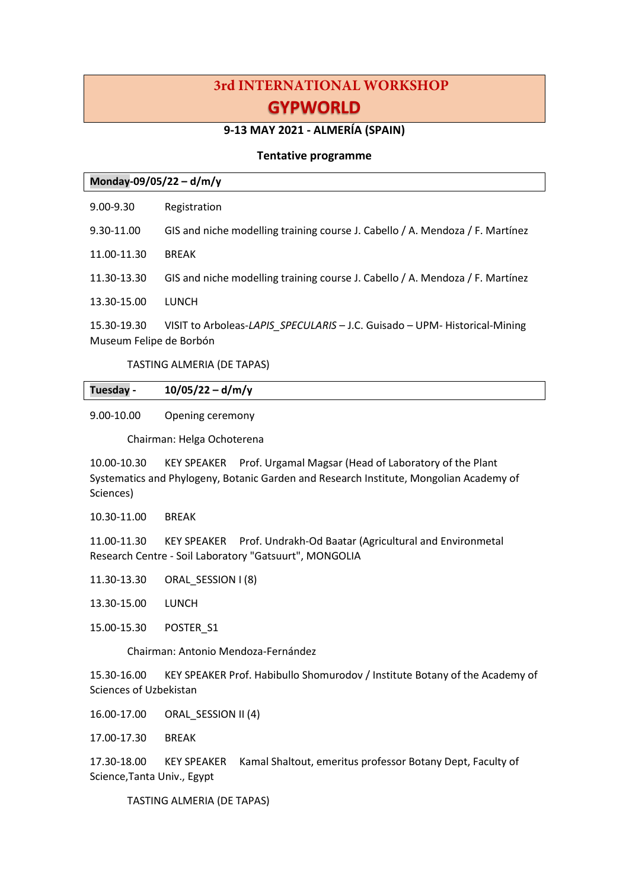# **3rd INTERNATIONAL WORKSHOP GYPWORLD**

## **9-13 MAY 2021 - ALMERÍA (SPAIN)**

## **Tentative programme**

| Monday-09/05/22 - d/m/y                |                                                                               |
|----------------------------------------|-------------------------------------------------------------------------------|
| $9.00 - 9.30$                          | Registration                                                                  |
| 9.30-11.00                             | GIS and niche modelling training course J. Cabello / A. Mendoza / F. Martínez |
| 11.00-11.30                            | <b>BREAK</b>                                                                  |
| 11.30-13.30                            | GIS and niche modelling training course J. Cabello / A. Mendoza / F. Martínez |
| 13.30-15.00                            | LUNCH                                                                         |
| 15.30-19.30<br>Museum Felipe de Borbón | VISIT to Arboleas-LAPIS SPECULARIS - J.C. Guisado - UPM- Historical-Mining    |

TASTING ALMERIA (DE TAPAS)

| Tuesday - | $10/05/22 - d/m/y$ |
|-----------|--------------------|
|           |                    |

## 9.00-10.00 Opening ceremony

Chairman: Helga Ochoterena

10.00-10.30 KEY SPEAKER Prof. Urgamal Magsar (Head of Laboratory of the Plant Systematics and Phylogeny, Botanic Garden and Research Institute, Mongolian Academy of Sciences)

10.30-11.00 BREAK

11.00-11.30 KEY SPEAKER Prof. Undrakh-Od Baatar (Agricultural and Environmetal Research Centre - Soil Laboratory "Gatsuurt", MONGOLIA

- 11.30-13.30 ORAL\_SESSION I (8)
- 13.30-15.00 LUNCH
- 15.00-15.30 POSTER\_S1

Chairman: Antonio Mendoza-Fernández

15.30-16.00 KEY SPEAKER Prof. Habibullo Shomurodov / Institute Botany of the Academy of Sciences of Uzbekistan

16.00-17.00 ORAL\_SESSION II (4)

17.00-17.30 BREAK

17.30-18.00 KEY SPEAKER Kamal Shaltout, emeritus professor Botany Dept, Faculty of Science,Tanta Univ., Egypt

TASTING ALMERIA (DE TAPAS)